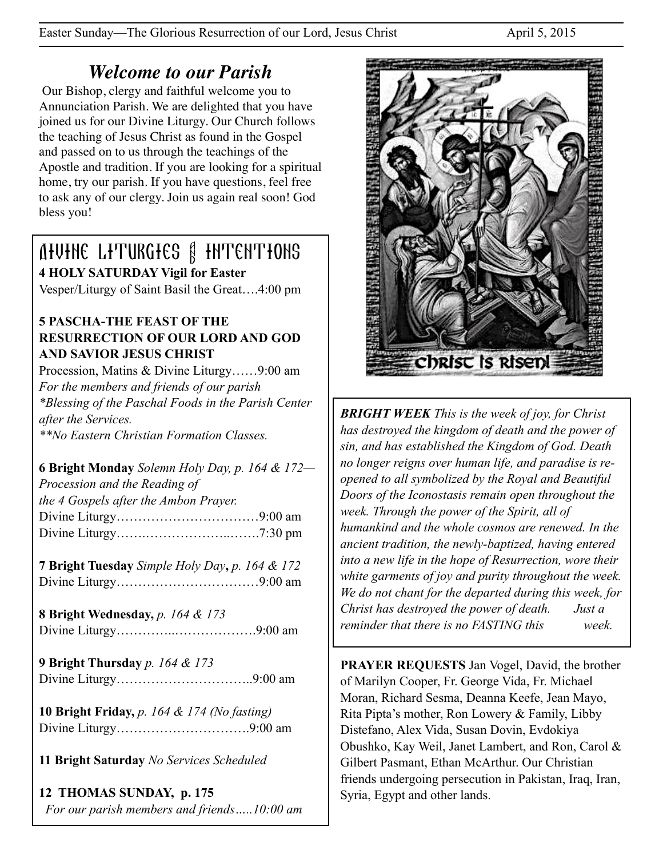Easter Sunday—The Glorious Resurrection of our Lord, Jesus Christ April 5, 2015

# *Welcome to our Parish*

 Our Bishop, clergy and faithful welcome you to Annunciation Parish. We are delighted that you have joined us for our Divine Liturgy. Our Church follows the teaching of Jesus Christ as found in the Gospel and passed on to us through the teachings of the Apostle and tradition. If you are looking for a spiritual home, try our parish. If you have questions, feel free to ask any of our clergy. Join us again real soon! God bless you!

# Divine Liturgies & Intentions **4 HOLY SATURDAY Vigil for Easter**

Vesper/Liturgy of Saint Basil the Great….4:00 pm

### **5 PASCHA-THE FEAST OF THE RESURRECTION OF OUR LORD AND GOD AND SAVIOR JESUS CHRIST**

Procession, Matins & Divine Liturgy……9:00 am *For the members and friends of our parish \*Blessing of the Paschal Foods in the Parish Center after the Services. \*\*No Eastern Christian Formation Classes.* 

**6 Bright Monday** *Solemn Holy Day, p. 164 & 172—* *Procession and the Reading of the 4 Gospels after the Ambon Prayer.* Divine Liturgy……………………………9:00 am Divine Liturgy…….………………..…….7:30 pm

**7 Bright Tuesday** *Simple Holy Day***,** *p. 164 & 172* Divine Liturgy……………………………9:00 am

**8 Bright Wednesday,** *p. 164 & 173* Divine Liturgy…………..……………….9:00 am

**9 Bright Thursday** *p. 164 & 173*  Divine Liturgy…………………………..9:00 am

**10 Bright Friday,** *p. 164 & 174 (No fasting)* Divine Liturgy………………………….9:00 am

**11 Bright Saturday** *No Services Scheduled*

**12 THOMAS SUNDAY, p. 175** *For our parish members and friends…..10:00 am* 



*BRIGHT WEEK This is the week of joy, for Christ has destroyed the kingdom of death and the power of sin, and has established the Kingdom of God. Death no longer reigns over human life, and paradise is reopened to all symbolized by the Royal and Beautiful Doors of the Iconostasis remain open throughout the week. Through the power of the Spirit, all of humankind and the whole cosmos are renewed. In the ancient tradition, the newly-baptized, having entered into a new life in the hope of Resurrection, wore their white garments of joy and purity throughout the week. We do not chant for the departed during this week, for Christ has destroyed the power of death. Just a reminder that there is no FASTING this week.*

**PRAYER REQUESTS** Jan Vogel, David, the brother of Marilyn Cooper, Fr. George Vida, Fr. Michael Moran, Richard Sesma, Deanna Keefe, Jean Mayo, Rita Pipta's mother, Ron Lowery & Family, Libby Distefano, Alex Vida, Susan Dovin, Evdokiya Obushko, Kay Weil, Janet Lambert, and Ron, Carol & Gilbert Pasmant, Ethan McArthur. Our Christian friends undergoing persecution in Pakistan, Iraq, Iran, Syria, Egypt and other lands.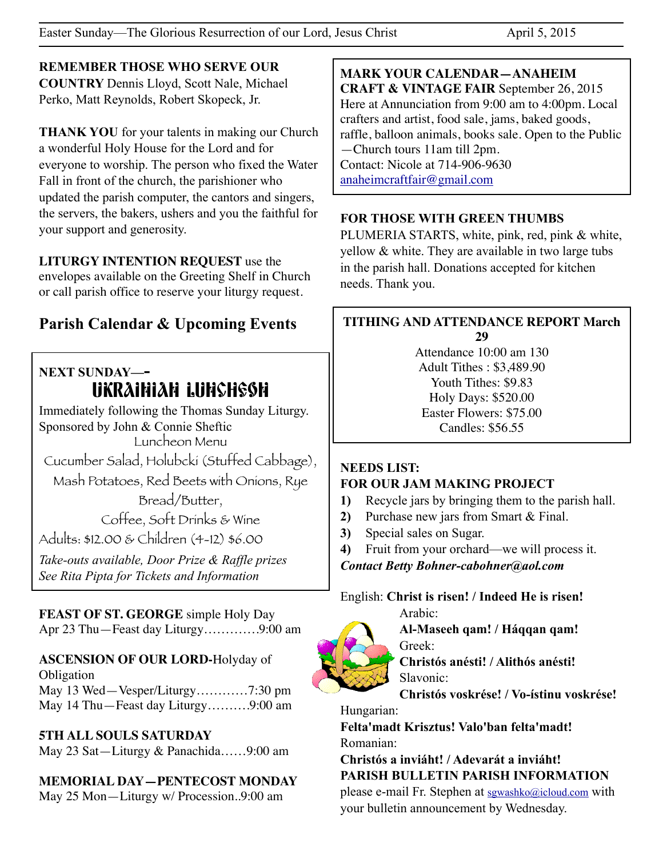**REMEMBER THOSE WHO SERVE OUR COUNTRY** Dennis Lloyd, Scott Nale, Michael Perko, Matt Reynolds, Robert Skopeck, Jr.

**THANK YOU** for your talents in making our Church a wonderful Holy House for the Lord and for everyone to worship. The person who fixed the Water Fall in front of the church, the parishioner who updated the parish computer, the cantors and singers, the servers, the bakers, ushers and you the faithful for your support and generosity.

**LITURGY INTENTION REQUEST** use the envelopes available on the Greeting Shelf in Church or call parish office to reserve your liturgy request.

# **Parish Calendar & Upcoming Events**

## **NEXT SUNDAY—-**  UKRAINIAN LUNCHEON

Immediately following the Thomas Sunday Liturgy. Sponsored by John & Connie Sheftic Luncheon Menu

Cucumber Salad, Holubcki (Stuffed Cabbage),

Mash Potatoes, Red Beets with Onions, Rye

Bread/Butter, Coffee, Soft Drinks & Wine

Adults: \$12.00 & Children (4-12) \$6.00

*Take-outs available, Door Prize & Raffle prizes See Rita Pipta for Tickets and Information* 

## **FEAST OF ST. GEORGE** simple Holy Day

Apr 23 Thu—Feast day Liturgy………….9:00 am

## **ASCENSION OF OUR LORD-**Holyday of

**Obligation** May 13 Wed—Vesper/Liturgy…………7:30 pm May 14 Thu—Feast day Liturgy……….9:00 am

#### **5TH ALL SOULS SATURDAY**

May 23 Sat—Liturgy & Panachida……9:00 am

## **MEMORIAL DAY—PENTECOST MONDAY**

May 25 Mon—Liturgy w/ Procession..9:00 am

**MARK YOUR CALENDAR—ANAHEIM CRAFT & VINTAGE FAIR** September 26, 2015 Here at Annunciation from 9:00 am to 4:00pm. Local crafters and artist, food sale, jams, baked goods, raffle, balloon animals, books sale. Open to the Public —Church tours 11am till 2pm. Contact: Nicole at 714-906-9630 [anaheimcraftfair@gmail.com](mailto:anaheimcraftfair@gmail.com)

#### **FOR THOSE WITH GREEN THUMBS**

PLUMERIA STARTS, white, pink, red, pink & white, yellow & white. They are available in two large tubs in the parish hall. Donations accepted for kitchen needs. Thank you.

#### **TITHING AND ATTENDANCE REPORT March 29**

Attendance 10:00 am 130 Adult Tithes : \$3,489.90 Youth Tithes: \$9.83 Holy Days: \$520.00 Easter Flowers: \$75.00 Candles: \$56.55

#### **NEEDS LIST: FOR OUR JAM MAKING PROJECT**

- **1)** Recycle jars by bringing them to the parish hall.
- **2)** Purchase new jars from Smart & Final.
- **3)** Special sales on Sugar.

**4)** Fruit from your orchard—we will process it.

*Contact Betty Bohner-cabohner@aol.com*

#### English: **Christ is risen! / Indeed He is risen!**

Arabic:

**Al-Maseeh qam! / Háqqan qam!** Greek:

**Christós anésti! / Alithós anésti!** Slavonic:

**Christós voskrése! / Vo-ístinu voskrése!**

Hungarian:

**Felta'madt Krisztus! Valo'ban felta'madt!** Romanian:

#### **Christós a inviáht! / Adevarát a inviáht! PARISH BULLETIN PARISH INFORMATION**

please e-mail Fr. Stephen at [sgwashko@icloud.com](mailto:sgwashko@icloud.com) with your bulletin announcement by Wednesday.